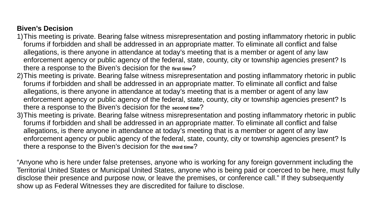### **Biven's Decision**

- 1)This meeting is private. Bearing false witness misrepresentation and posting inflammatory rhetoric in public forums if forbidden and shall be addressed in an appropriate matter. To eliminate all conflict and false allegations, is there anyone in attendance at today's meeting that is a member or agent of any law enforcement agency or public agency of the federal, state, county, city or township agencies present? Is there a response to the Biven's decision for the **first time**?
- 2)This meeting is private. Bearing false witness misrepresentation and posting inflammatory rhetoric in public forums if forbidden and shall be addressed in an appropriate matter. To eliminate all conflict and false allegations, is there anyone in attendance at today's meeting that is a member or agent of any law enforcement agency or public agency of the federal, state, county, city or township agencies present? Is there a response to the Biven's decision for the **second time**?
- 3)This meeting is private. Bearing false witness misrepresentation and posting inflammatory rhetoric in public forums if forbidden and shall be addressed in an appropriate matter. To eliminate all conflict and false allegations, is there anyone in attendance at today's meeting that is a member or agent of any law enforcement agency or public agency of the federal, state, county, city or township agencies present? Is there a response to the Biven's decision for the **third time**?

"Anyone who is here under false pretenses, anyone who is working for any foreign government including the Territorial United States or Municipal United States, anyone who is being paid or coerced to be here, must fully disclose their presence and purpose now, or leave the premises, or conference call." If they subsequently show up as Federal Witnesses they are discredited for failure to disclose.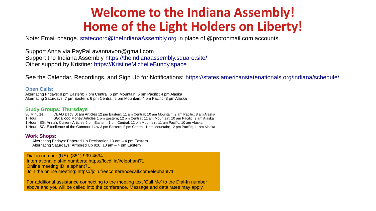## **Welcome to the Indiana Assembly! Home of the Light Holders on Liberty!**

Note: Email change. [statecoord@theIndianaAssembly.org](mailto:statecoord@theIndianaAssembly.org) in place of @protonmail.com accounts.

Support Anna via PayPal avannavon@gmail.com Support the Indiana Assembly [https://theindianaassembly.square.site/](https://theindianaassembly.square.site/%22%20%5Ct%20%22_blank) Other support by Kristine: [https://KristineMichelleBundy.space](https://KristineMichelleBundy.space/)

See the Calendar, Recordings, and Sign Up for Notifications: <https://states.americanstatenationals.org/indiana/schedule/>

#### **Open Calls:**

Alternating Fridays: 8 pm Eastern; 7 pm Central; 6 pm Mountain; 5 pm Pacific; 4 pm Alaska Alternating Saturdays: 7 pm Eastern; 6 pm Central; 5 pm Mountain; 4 pm Pacific; 3 pm Alaska

#### **Study Groups: Thursdays**

30 Minutes: DEAD Baby Scam Articles 12 pm Eastern; 11 am Central; 10 am Mountain; 9 am Pacific; 8 am Alaska 1 Hour: SG: Blood Money Articles 1 pm Eastern; 12 pm Central; 11 am Mountain; 10 am Pacific; 9 am Alaska 1 Hour: SG: Anna's Current Articles 2 pm Eastern; 1 pm Central; 12 pm Mountain; 11 am Pacific; 10 am Alaska 1 Hour: SG: Excellence of the Common Law 3 pm Eastern; 2 pm Central; 1 pm Mountain; 12 pm Pacific; 11 am Alaska

#### **Work Shops:**

Alternating Fridays: Papered Up Declaration 10 am – 4 pm Eastern Alternating Saturdays: Armored Up 928: 10 am – 4 pm Eastern

Dial-in number (US): (351) 999-4694 International dial-in numbers: https://fccdl.in/i/elephant71 Online meeting ID: elephant71 Join the online meeting: https://join.freeconferencecall.com/elephant71

For additional assistance connecting to the meeting text 'Call Me' to the Dial-In number above and you will be called into the conference. Message and data rates may apply.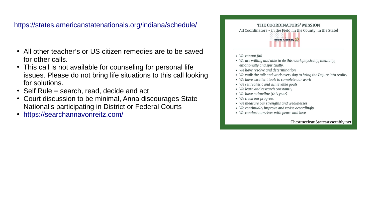### <https://states.americanstatenationals.org/indiana/schedule/>

- All other teacher's or US citizen remedies are to be saved for other calls.
- This call is not available for counseling for personal life issues. Please do not bring life situations to this call looking for solutions.
- $\cdot$  Self Rule = search, read, decide and act
- Court discussion to be minimal, Anna discourages State National's participating in District or Federal Courts
- <https://searchannavonreitz.com/>



- We cannot fail
- We are willing and able to do this work physically, mentally, emotionally and spiritually.
- We have resolve and determination
- We walk the talk and work every day to bring the Dejure into reality
- We have excellent tools to complete our work
- We set realistic and achievable goals
- We learn and research constantly
- We have a timeline (this year)
- We track our progress
- We measure our strengths and weaknesses
- We continually improve and revise accordingly
- We conduct ourselves with peace and love

TheAmericanStatesAssembly.net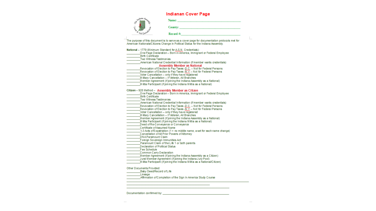#### **Indianan Cover Page**

| Vana A<br>É<br>q, | Name:          |
|-------------------|----------------|
|                   | <b>County:</b> |
| "Soil Jurisde"    | Record #:      |

The purpose of this document is to serve as a cover page for documentation protocols met for American Nationals/Citizens Change in Political Status for the Indiana Assembly. National - 1779 (Minimum Standard for A.S.N. Credentials): One Page Declaration - Born in America, Immigrant or Federal Employee

Birth Certificate Two Witness Testimonies

-<br>American National Credential Information (if member wants credentials)

#### **Assembly Member as National**

Member Agreement (if joining the Indiana Assembly as a National)

M ilitia Participant (if joining the Indiana Militia as a National)

Citizen - 928 Method - Assembly Member as Citizen

One Page Declaration - Born in America, Immigrant or Federal Employee

**Birth Certificate** 

Two Witness Testimonies

American National Credential Information (if member wants credentials)

Revocation of Election to Pay Taxes -D.C. - Not for Federal Persons<br>Revocation of Election to Pay Taxes -N.Y. - Not for Federal Persons

Voter Cancellation - only if they have registered Military Cancellation - If Veteran, All Branches

Member Agreement (if joining the Indiana Assembly as a National)

Militia Participant (if join ing the Indiana Militia as a National)

Deed of Re-Conveyance or Conveyance

Certificate of Assumed Name

 $\bar{ }$  1-3 Acts of Expatriation (1 = no middle name, a set for each name change)

Cancellation of All Prior Powers of Attomev

**DNAParamount Claim** 

Foreign Sovereign Immunities Act

Paramount Claim of the Life 1 or both parents

Declaration of Political Status

Fee Schedule

Common Carry Declaration  $\sim$ 

Member Agreement (if joining the Indiana Assembly as a Citizen)

Jural Member Agreement (if joining the Indiana Jury Pool)

Militia Participant (if join ing the Indiana Militia as a National/Citizen)

Other Documents Provided:

Baby Deed/Record of Life

Lineage

Affirmation of Completion of the Sign In America Study Course

Documentation confirmed by: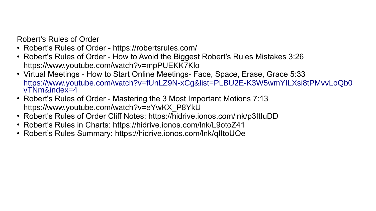Robert's Rules of Order

- Robert's Rules of Order <https://robertsrules.com/>
- Robert's Rules of Order How to Avoid the Biggest Robert's Rules Mistakes 3:26 <https://www.youtube.com/watch?v=mpPUEKK7Klo>
- Virtual Meetings How to Start Online Meetings- Face, Space, Erase, Grace 5:33 [https://www.youtube.com/watch?v=fUnLZ9N-xCg&list=PLBU2E-K3W5wmYILXsi8tPMvvLoQb0](https://www.youtube.com/watch?v=fUnLZ9N-xCg&list=PLBU2E-K3W5wmYILXsi8tPMvvLoQb0vTNm&index=4) [vTNm&index=4](https://www.youtube.com/watch?v=fUnLZ9N-xCg&list=PLBU2E-K3W5wmYILXsi8tPMvvLoQb0vTNm&index=4)
- Robert's Rules of Order Mastering the 3 Most Important Motions 7:13 [https://www.youtube.com/watch?v=eYwKX\\_P8YkU](https://www.youtube.com/watch?v=eYwKX_P8YkU)
- Robert's Rules of Order Cliff Notes: <https://hidrive.ionos.com/lnk/p3ItIuDD>
- Robert's Rules in Charts: <https://hidrive.ionos.com/lnk/L9otoZ41>
- Robert's Rules Summary: <https://hidrive.ionos.com/lnk/qIItoUOe>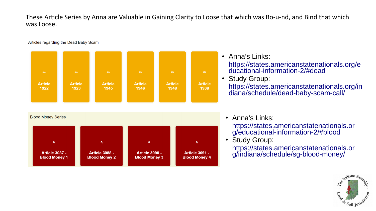### These Article Series by Anna are Valuable in Gaining Clarity to Loose that which was Bo-u-nd, and Bind that which was Loose.

Articles regarding the Dead Baby Scam



• Anna's Links: [https://states.americanstatenationals.org/e](https://states.americanstatenationals.org/educational-information-2/#dead) [ducational-information-2/#dead](https://states.americanstatenationals.org/educational-information-2/#dead)

### • Study Group:

[https://states.americanstatenationals.org/in](https://states.americanstatenationals.org/indiana/schedule/dead-baby-scam-call/) [diana/schedule/dead-baby-scam-call/](https://states.americanstatenationals.org/indiana/schedule/dead-baby-scam-call/)

- Anna's Links:
	- [https://states.americanstatenationals.or](https://states.americanstatenationals.org/educational-information-2/#blood) [g/educational-information-2/#blood](https://states.americanstatenationals.org/educational-information-2/#blood)
- Study Group:

[https://states.americanstatenationals.or](https://states.americanstatenationals.org/indiana/schedule/sg-blood-money/) [g/indiana/schedule/sg-blood-money/](https://states.americanstatenationals.org/indiana/schedule/sg-blood-money/)

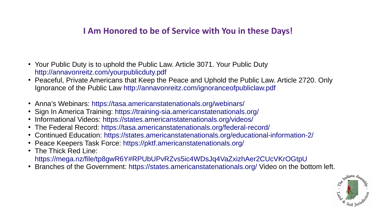### **I Am Honored to be of Service with You in these Days!**

- Your Public Duty is to uphold the Public Law. Article 3071. Your Public Duty <http://annavonreitz.com/yourpublicduty.pdf>
- Peaceful, Private Americans that Keep the Peace and Uphold the Public Law. Article 2720. Only Ignorance of the Public Law <http://annavonreitz.com/ignoranceofpubliclaw.pdf>
- Anna's Webinars: <https://tasa.americanstatenationals.org/webinars/>
- Sign In America Training: <https://training-sia.americanstatenationals.org/>
- Informational Videos: <https://states.americanstatenationals.org/videos/>
- The Federal Record: <https://tasa.americanstatenationals.org/federal-record/>
- Continued Education: <https://states.americanstatenationals.org/educational-information-2/>
- Peace Keepers Task Force: <https://pktf.americanstatenationals.org/>
- The Thick Red Line: <https://mega.nz/file/tp8gwR6Y#RPUbUPvRZvs5ic4WDsJq4VaZxizhAer2CUcVKrOGtpU>
- Branches of the Government: <https://states.americanstatenationals.org/>Video on the bottom left.

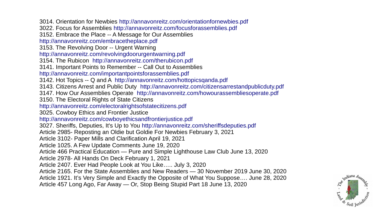3014. Orientation for Newbies <http://annavonreitz.com/orientationfornewbies.pdf> 3022. Focus for Assemblies <http://annavonreitz.com/focusforassemblies.pdf> 3152. Embrace the Place -- A Message for Our Assemblies <http://annavonreitz.com/embracetheplace.pdf> 3153. The Revolving Door -- Urgent Warning <http://annavonreitz.com/revolvingdoorurgentwarning.pdf> 3154. The Rubicon <http://annavonreitz.com/therubicon.pdf> 3141. Important Points to Remember -- Call Out to Assemblies <http://annavonreitz.com/importantpointsforassemblies.pdf> 3142. Hot Topics -- Q and A <http://annavonreitz.com/hottopicsqanda.pdf> 3143. Citizens Arrest and Public Duty <http://annavonreitz.com/citizensarrestandpublicduty.pdf> 3147. How Our Assemblies Operate <http://annavonreitz.com/howourassembliesoperate.pdf> 3150. The Electoral Rights of State Citizens <http://annavonreitz.com/electoralrightsofstatecitizens.pdf> 3025. Cowboy Ethics and Frontier Justice <http://annavonreitz.com/cowboyethicsandfrontierjustice.pdf> 3027. Sheriffs, Deputies, It's Up to You <http://annavonreitz.com/sheriffsdeputies.pdf> Article 2985- Reposting an Oldie but Goldie For Newbies February 3, 2021 Article 3102- Paper Mills and Clarification April 19, 2021 Article 1025. A Few Update Comments June 19, 2020 Article 466 Practical Education — Pure and Simple Lighthouse Law Club June 13, 2020 Article 2978- All Hands On Deck February 1, 2021 Article 2407. Ever Had People Look at You Like….. July 3, 2020 Article 2165. For the State Assemblies and New Readers — 30 November 2019 June 30, 2020 Article 1921. It's Very Simple and Exactly the Opposite of What You Suppose…. June 28, 2020 Article 457 Long Ago, Far Away — Or, Stop Being Stupid Part 18 June 13, 2020

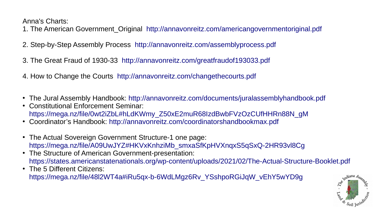Anna's Charts:

- 1. The American Government\_Original <http://annavonreitz.com/americangovernmentoriginal.pdf>
- 2. Step-by-Step Assembly Process <http://annavonreitz.com/assemblyprocess.pdf>
- 3. The Great Fraud of 1930-33 <http://annavonreitz.com/greatfraudof193033.pdf>
- 4. How to Change the Courts <http://annavonreitz.com/changethecourts.pdf>
- The Jural Assembly Handbook: <http://annavonreitz.com/documents/juralassemblyhandbook.pdf>
- Constitutional Enforcement Seminar: [https://mega.nz/file/0wt2iZbL#hLdKWmy\\_Z50xE2muR68IzdBwbFVzOzCUfHHRn88N\\_gM](https://mega.nz/file/0wt2iZbL#hLdKWmy_Z50xE2muR68IzdBwbFVzOzCUfHHRn88N_gM)
- Coordinator's Handbook: <http://annavonreitz.com/coordinatorshandbookmax.pdf>
- The Actual Sovereign Government Structure-1 one page: [https://mega.nz/file/A09UwJYZ#HKVxKnhziMb\\_smxaSfKpHVXnqxS5qSxQ-2HR93vl8Cg](https://mega.nz/file/A09UwJYZ#HKVxKnhziMb_smxaSfKpHVXnqxS5qSxQ-2HR93vl8Cg)
- The Structure of American Government-presentation: <https://states.americanstatenationals.org/wp-content/uploads/2021/02/The-Actual-Structure-Booklet.pdf>
- The 5 Different Citizens: [https://mega.nz/file/48l2WT4a#iRu5qx-b-6WdLMgz6Rv\\_YSshpoRGiJqW\\_vEhY5wYD9g](https://mega.nz/file/48l2WT4a#iRu5qx-b-6WdLMgz6Rv_YSshpoRGiJqW_vEhY5wYD9g)

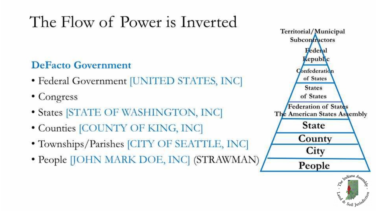# The Flow of Power is Inverted

## **DeFacto Government**

- Federal Government [UNITED STATES, INC]
- Congress
- States [STATE OF WASHINGTON, INC]
- Counties [COUNTY OF KING, INC]
- Townships/Parishes [CITY OF SEATTLE, INC]
- People [JOHN MARK DOE, INC] (STRAWMAN)



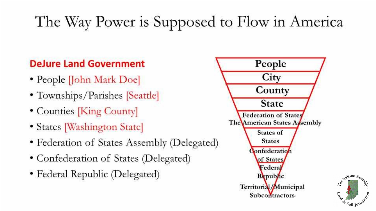## The Way Power is Supposed to Flow in America

## **DeJure Land Government**

- People *John Mark Doe*
- Townships/Parishes [Seattle]
- Counties [King County]
- States [Washington State]
- Federation of States Assembly (Delegated)
- Confederation of States (Delegated)
- Federal Republic (Delegated)



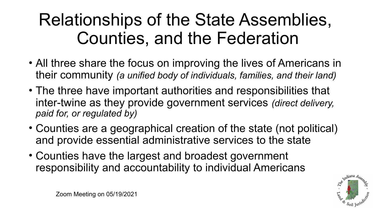# Relationships of the State Assemblies, Counties, and the Federation

- All three share the focus on improving the lives of Americans in their community *(a unified body of individuals, families, and their land)*
- The three have important authorities and responsibilities that inter-twine as they provide government services *(direct delivery, paid for, or regulated by)*
- Counties are a geographical creation of the state (not political) and provide essential administrative services to the state
- Counties have the largest and broadest government responsibility and accountability to individual Americans

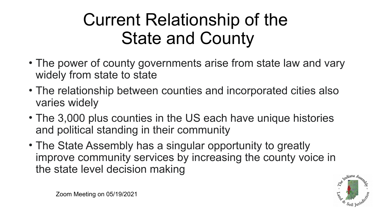# Current Relationship of the State and County

- The power of county governments arise from state law and vary widely from state to state
- The relationship between counties and incorporated cities also varies widely
- The 3,000 plus counties in the US each have unique histories and political standing in their community
- The State Assembly has a singular opportunity to greatly improve community services by increasing the county voice in the state level decision making

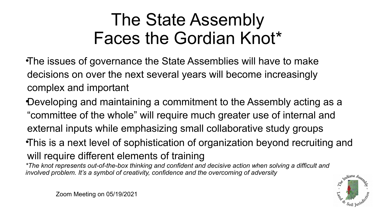# The State Assembly Faces the Gordian Knot\*

•The issues of governance the State Assemblies will have to make decisions on over the next several years will become increasingly complex and important

•Developing and maintaining a commitment to the Assembly acting as a "committee of the whole" will require much greater use of internal and external inputs while emphasizing small collaborative study groups •This is a next level of sophistication of organization beyond recruiting and will require different elements of training

*\*The knot represents out-of-the-box thinking and confident and decisive action when solving a difficult and involved problem. It's a symbol of creativity, confidence and the overcoming of adversity*

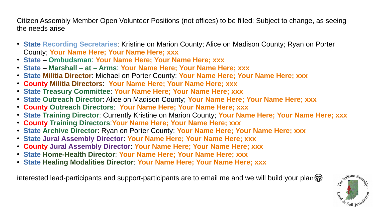Citizen Assembly Member Open Volunteer Positions (not offices) to be filled: Subject to change, as seeing the needs arise

- **State Recording Secretaries**: Kristine on Marion County; Alice on Madison County; Ryan on Porter County; **Your Name Here; Your Name Here; xxx**
- **State Ombudsman**: **Your Name Here; Your Name Here; xxx**
- **State Marshall at Arms**: **Your Name Here; Your Name Here; xxx**
- **State Militia Director**: Michael on Porter County; **Your Name Here; Your Name Here; xxx**
- **County Militia Directors**: **Your Name Here; Your Name Here; xxx**
- **State Treasury Committee**: **Your Name Here; Your Name Here; xxx**
- **State Outreach Director**: Alice on Madison County; **Your Name Here; Your Name Here; xxx**
- **County Outreach Directors**: **Your Name Here; Your Name Here; xxx**
- **State Training Director**: Currently Kristine on Marion County; **Your Name Here; Your Name Here; xxx**
- **County Training Directors**:**Your Name Here; Your Name Here; xxx**
- **State Archive Director**: Ryan on Porter County; **Your Name Here; Your Name Here; xxx**
- **State Jural Assembly Director**: **Your Name Here; Your Name Here; xxx**
- **County Jural Assembly Director**: **Your Name Here; Your Name Here; xxx**
- **State Home-Health Director**: **Your Name Here; Your Name Here; xxx**
- **State Healing Modalities Director**: **Your Name Here; Your Name Here; xxx**

Interested lead-participants and support-participants are to email me and we will build your plan  $\circledast$